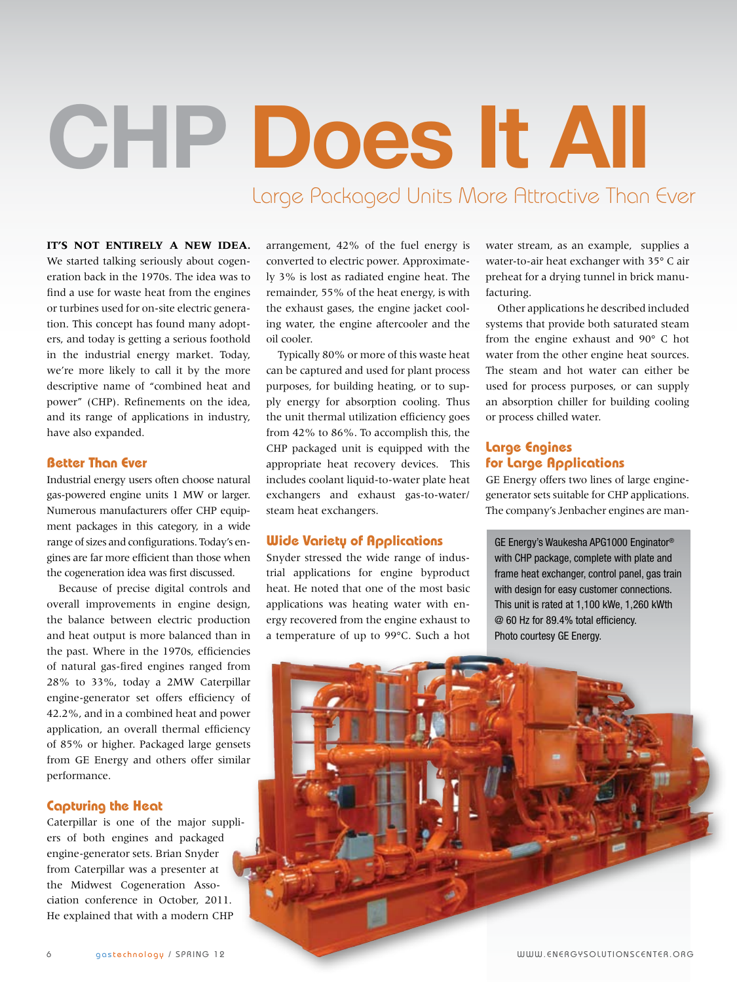# **CHP Does It All**

Large Packaged Units More Attractive Than Ever

# **It's not entirely a new idea.**  We started talking seriously about cogen-

eration back in the 1970s. The idea was to find a use for waste heat from the engines or turbines used for on-site electric generation. This concept has found many adopters, and today is getting a serious foothold in the industrial energy market. Today, we're more likely to call it by the more descriptive name of "combined heat and power" (CHP). Refinements on the idea, and its range of applications in industry, have also expanded.

#### **Better Than Ever**

Industrial energy users often choose natural gas-powered engine units 1 MW or larger. Numerous manufacturers offer CHP equipment packages in this category, in a wide range of sizes and configurations. Today's engines are far more efficient than those when the cogeneration idea was first discussed.

Because of precise digital controls and overall improvements in engine design, the balance between electric production and heat output is more balanced than in the past. Where in the 1970s, efficiencies of natural gas-fired engines ranged from 28% to 33%, today a 2MW Caterpillar engine-generator set offers efficiency of 42.2%, and in a combined heat and power application, an overall thermal efficiency of 85% or higher. Packaged large gensets from GE Energy and others offer similar performance.

#### **Capturing the Heat**

Caterpillar is one of the major suppliers of both engines and packaged engine-generator sets. Brian Snyder from Caterpillar was a presenter at the Midwest Cogeneration Association conference in October, 2011. He explained that with a modern CHP

arrangement, 42% of the fuel energy is converted to electric power. Approximately 3% is lost as radiated engine heat. The remainder, 55% of the heat energy, is with the exhaust gases, the engine jacket cooling water, the engine aftercooler and the oil cooler.

Typically 80% or more of this waste heat can be captured and used for plant process purposes, for building heating, or to supply energy for absorption cooling. Thus the unit thermal utilization efficiency goes from 42% to 86%. To accomplish this, the CHP packaged unit is equipped with the appropriate heat recovery devices. This includes coolant liquid-to-water plate heat exchangers and exhaust gas-to-water/ steam heat exchangers.

#### **Wide Variety of Applications**

Snyder stressed the wide range of industrial applications for engine byproduct heat. He noted that one of the most basic applications was heating water with energy recovered from the engine exhaust to a temperature of up to 99°C. Such a hot

water stream, as an example, supplies a water-to-air heat exchanger with 35° C air preheat for a drying tunnel in brick manufacturing.

Other applications he described included systems that provide both saturated steam from the engine exhaust and 90° C hot water from the other engine heat sources. The steam and hot water can either be used for process purposes, or can supply an absorption chiller for building cooling or process chilled water.

### **Large Engines for Large Applications**

GE Energy offers two lines of large enginegenerator sets suitable for CHP applications. The company's Jenbacher engines are man-

GE Energy's Waukesha APG1000 Enginator® with CHP package, complete with plate and frame heat exchanger, control panel, gas train with design for easy customer connections. This unit is rated at 1,100 kWe, 1,260 kWth @ 60 Hz for 89.4% total efficiency. Photo courtesy GE Energy.